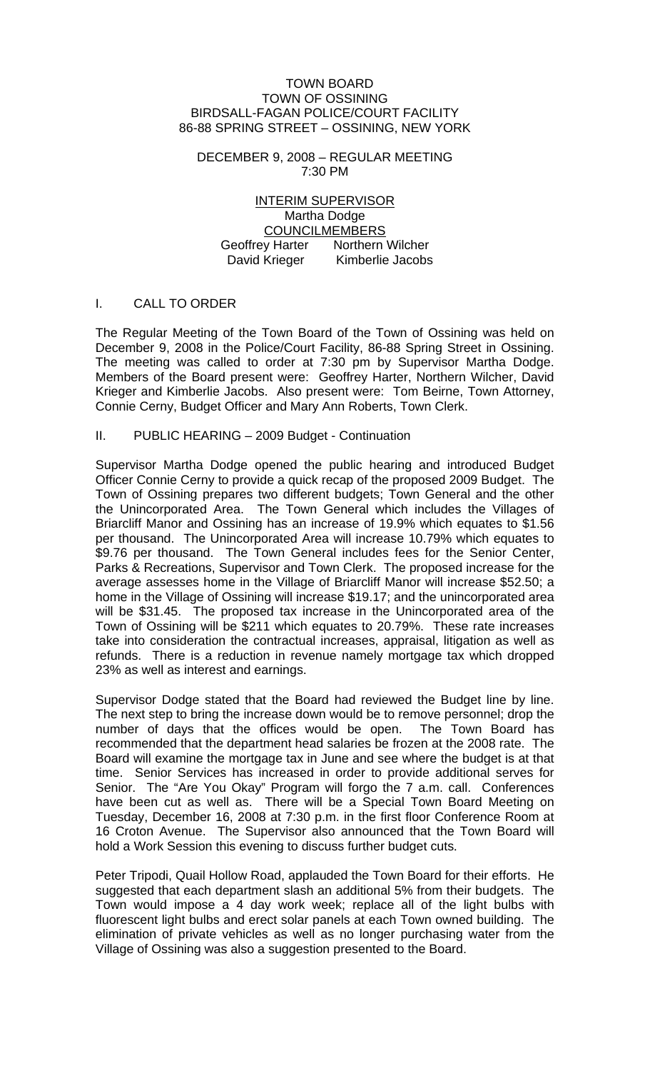#### TOWN BOARD TOWN OF OSSINING BIRDSALL-FAGAN POLICE/COURT FACILITY 86-88 SPRING STREET – OSSINING, NEW YORK

DECEMBER 9, 2008 – REGULAR MEETING 7:30 PM

INTERIM SUPERVISOR Martha Dodge COUNCILMEMBERS Geoffrey Harter Northern Wilcher David Krieger Kimberlie Jacobs

### I. CALL TO ORDER

The Regular Meeting of the Town Board of the Town of Ossining was held on December 9, 2008 in the Police/Court Facility, 86-88 Spring Street in Ossining. The meeting was called to order at 7:30 pm by Supervisor Martha Dodge. Members of the Board present were: Geoffrey Harter, Northern Wilcher, David Krieger and Kimberlie Jacobs. Also present were: Tom Beirne, Town Attorney, Connie Cerny, Budget Officer and Mary Ann Roberts, Town Clerk.

### II. PUBLIC HEARING – 2009 Budget - Continuation

Supervisor Martha Dodge opened the public hearing and introduced Budget Officer Connie Cerny to provide a quick recap of the proposed 2009 Budget. The Town of Ossining prepares two different budgets; Town General and the other the Unincorporated Area. The Town General which includes the Villages of Briarcliff Manor and Ossining has an increase of 19.9% which equates to \$1.56 per thousand. The Unincorporated Area will increase 10.79% which equates to \$9.76 per thousand. The Town General includes fees for the Senior Center, Parks & Recreations, Supervisor and Town Clerk. The proposed increase for the average assesses home in the Village of Briarcliff Manor will increase \$52.50; a home in the Village of Ossining will increase \$19.17; and the unincorporated area will be \$31.45. The proposed tax increase in the Unincorporated area of the Town of Ossining will be \$211 which equates to 20.79%. These rate increases take into consideration the contractual increases, appraisal, litigation as well as refunds. There is a reduction in revenue namely mortgage tax which dropped 23% as well as interest and earnings.

Supervisor Dodge stated that the Board had reviewed the Budget line by line. The next step to bring the increase down would be to remove personnel; drop the number of days that the offices would be open. The Town Board has recommended that the department head salaries be frozen at the 2008 rate. The Board will examine the mortgage tax in June and see where the budget is at that time. Senior Services has increased in order to provide additional serves for Senior. The "Are You Okay" Program will forgo the 7 a.m. call. Conferences have been cut as well as. There will be a Special Town Board Meeting on Tuesday, December 16, 2008 at 7:30 p.m. in the first floor Conference Room at 16 Croton Avenue. The Supervisor also announced that the Town Board will hold a Work Session this evening to discuss further budget cuts.

Peter Tripodi, Quail Hollow Road, applauded the Town Board for their efforts. He suggested that each department slash an additional 5% from their budgets. The Town would impose a 4 day work week; replace all of the light bulbs with fluorescent light bulbs and erect solar panels at each Town owned building. The elimination of private vehicles as well as no longer purchasing water from the Village of Ossining was also a suggestion presented to the Board.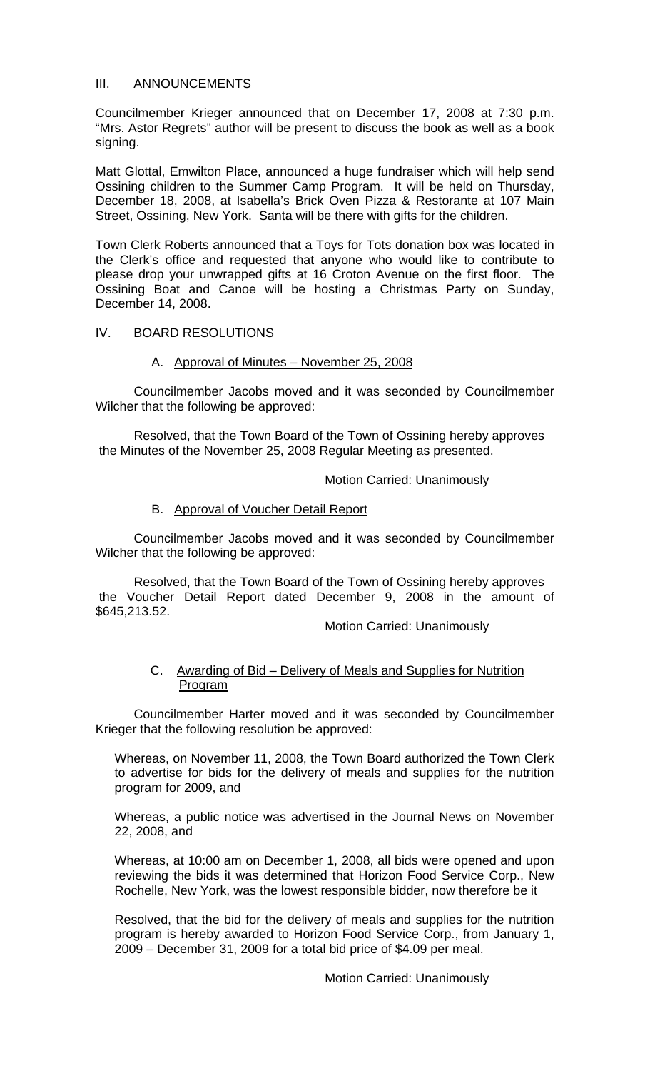### III. ANNOUNCEMENTS

Councilmember Krieger announced that on December 17, 2008 at 7:30 p.m. "Mrs. Astor Regrets" author will be present to discuss the book as well as a book signing.

Matt Glottal, Emwilton Place, announced a huge fundraiser which will help send Ossining children to the Summer Camp Program. It will be held on Thursday, December 18, 2008, at Isabella's Brick Oven Pizza & Restorante at 107 Main Street, Ossining, New York. Santa will be there with gifts for the children.

Town Clerk Roberts announced that a Toys for Tots donation box was located in the Clerk's office and requested that anyone who would like to contribute to please drop your unwrapped gifts at 16 Croton Avenue on the first floor. The Ossining Boat and Canoe will be hosting a Christmas Party on Sunday, December 14, 2008.

### IV. BOARD RESOLUTIONS

## A. Approval of Minutes – November 25, 2008

 Councilmember Jacobs moved and it was seconded by Councilmember Wilcher that the following be approved:

Resolved, that the Town Board of the Town of Ossining hereby approves the Minutes of the November 25, 2008 Regular Meeting as presented.

### Motion Carried: Unanimously

## B. Approval of Voucher Detail Report

 Councilmember Jacobs moved and it was seconded by Councilmember Wilcher that the following be approved:

Resolved, that the Town Board of the Town of Ossining hereby approves the Voucher Detail Report dated December 9, 2008 in the amount of \$645,213.52.

Motion Carried: Unanimously

### C. Awarding of Bid – Delivery of Meals and Supplies for Nutrition Program

 Councilmember Harter moved and it was seconded by Councilmember Krieger that the following resolution be approved:

Whereas, on November 11, 2008, the Town Board authorized the Town Clerk to advertise for bids for the delivery of meals and supplies for the nutrition program for 2009, and

Whereas, a public notice was advertised in the Journal News on November 22, 2008, and

Whereas, at 10:00 am on December 1, 2008, all bids were opened and upon reviewing the bids it was determined that Horizon Food Service Corp., New Rochelle, New York, was the lowest responsible bidder, now therefore be it

Resolved, that the bid for the delivery of meals and supplies for the nutrition program is hereby awarded to Horizon Food Service Corp., from January 1, 2009 – December 31, 2009 for a total bid price of \$4.09 per meal.

Motion Carried: Unanimously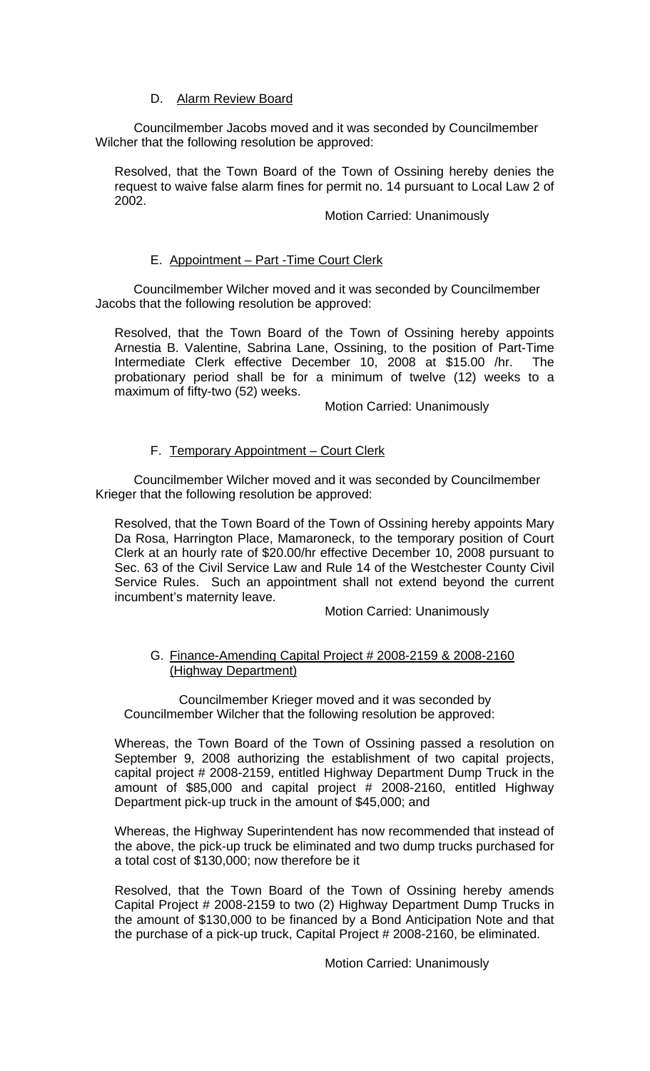# D. Alarm Review Board

Councilmember Jacobs moved and it was seconded by Councilmember Wilcher that the following resolution be approved:

Resolved, that the Town Board of the Town of Ossining hereby denies the request to waive false alarm fines for permit no. 14 pursuant to Local Law 2 of 2002.

### Motion Carried: Unanimously

## E. Appointment – Part -Time Court Clerk

Councilmember Wilcher moved and it was seconded by Councilmember Jacobs that the following resolution be approved:

Resolved, that the Town Board of the Town of Ossining hereby appoints Arnestia B. Valentine, Sabrina Lane, Ossining, to the position of Part-Time Intermediate Clerk effective December 10, 2008 at \$15.00 /hr. The probationary period shall be for a minimum of twelve (12) weeks to a maximum of fifty-two (52) weeks.

Motion Carried: Unanimously

### F. Temporary Appointment – Court Clerk

Councilmember Wilcher moved and it was seconded by Councilmember Krieger that the following resolution be approved:

Resolved, that the Town Board of the Town of Ossining hereby appoints Mary Da Rosa, Harrington Place, Mamaroneck, to the temporary position of Court Clerk at an hourly rate of \$20.00/hr effective December 10, 2008 pursuant to Sec. 63 of the Civil Service Law and Rule 14 of the Westchester County Civil Service Rules. Such an appointment shall not extend beyond the current incumbent's maternity leave.

Motion Carried: Unanimously

## G. Finance-Amending Capital Project # 2008-2159 & 2008-2160 (Highway Department)

 Councilmember Krieger moved and it was seconded by Councilmember Wilcher that the following resolution be approved:

Whereas, the Town Board of the Town of Ossining passed a resolution on September 9, 2008 authorizing the establishment of two capital projects, capital project # 2008-2159, entitled Highway Department Dump Truck in the amount of \$85,000 and capital project # 2008-2160, entitled Highway Department pick-up truck in the amount of \$45,000; and

Whereas, the Highway Superintendent has now recommended that instead of the above, the pick-up truck be eliminated and two dump trucks purchased for a total cost of \$130,000; now therefore be it

Resolved, that the Town Board of the Town of Ossining hereby amends Capital Project # 2008-2159 to two (2) Highway Department Dump Trucks in the amount of \$130,000 to be financed by a Bond Anticipation Note and that the purchase of a pick-up truck, Capital Project # 2008-2160, be eliminated.

Motion Carried: Unanimously